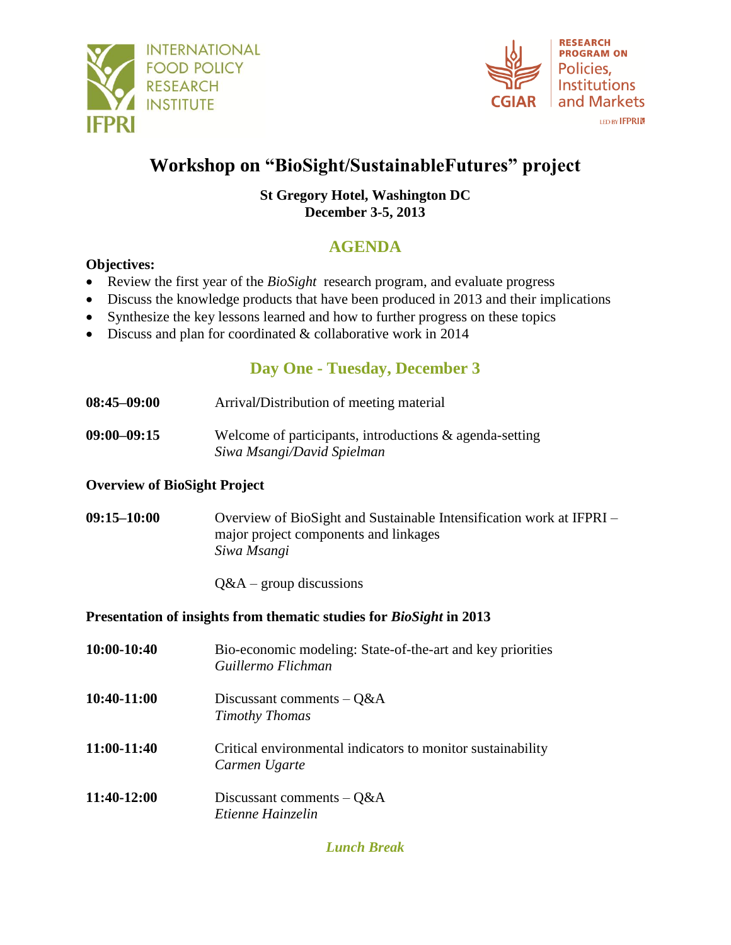



#### LED BY **IFPRI**

# **Workshop on "BioSight/SustainableFutures" project**

### **St Gregory Hotel, Washington DC December 3-5, 2013**

# **AGENDA**

### **Objectives:**

- Review the first year of the *BioSight* research program, and evaluate progress
- Discuss the knowledge products that have been produced in 2013 and their implications
- Synthesize the key lessons learned and how to further progress on these topics
- Discuss and plan for coordinated & collaborative work in 2014

# **Day One - Tuesday, December 3**

- **08:45–09:00** Arrival**/**Distribution of meeting material
- **09:00–09:15** Welcome of participants, introductions & agenda-setting *Siwa Msangi/David Spielman*

#### **Overview of BioSight Project**

**09:15–10:00** Overview of BioSight and Sustainable Intensification work at IFPRI – major project components and linkages *Siwa Msangi*

Q&A – group discussions

#### **Presentation of insights from thematic studies for** *BioSight* **in 2013**

**10:00-10:40** Bio-economic modeling: State-of-the-art and key priorities *Guillermo Flichman* **10:40-11:00** Discussant comments – Q&A *Timothy Thomas* **11:00-11:40** Critical environmental indicators to monitor sustainability *Carmen Ugarte* **11:40-12:00** Discussant comments – Q&A *Etienne Hainzelin*

*Lunch Break*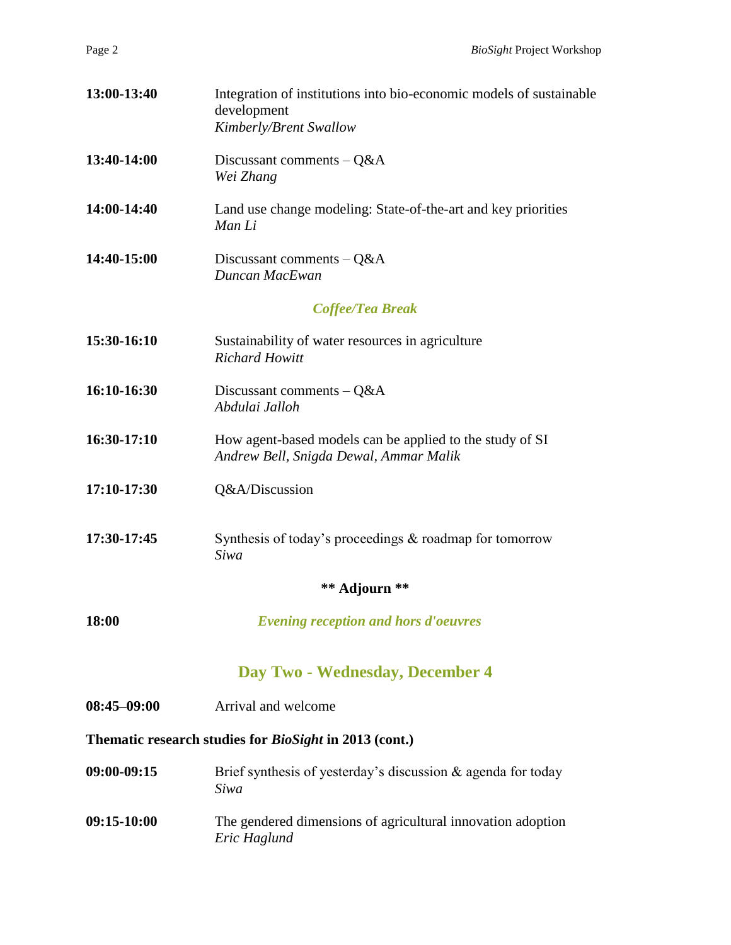| 13:00-13:40     | Integration of institutions into bio-economic models of sustainable<br>development<br>Kimberly/Brent Swallow |  |
|-----------------|--------------------------------------------------------------------------------------------------------------|--|
| 13:40-14:00     | Discussant comments $-Q&A$<br>Wei Zhang                                                                      |  |
| 14:00-14:40     | Land use change modeling: State-of-the-art and key priorities<br>Man Li                                      |  |
| 14:40-15:00     | Discussant comments $-Q&A$<br>Duncan MacEwan                                                                 |  |
|                 | Coffee/Tea Break                                                                                             |  |
| 15:30-16:10     | Sustainability of water resources in agriculture<br><b>Richard Howitt</b>                                    |  |
| 16:10-16:30     | Discussant comments $-Q&A$<br>Abdulai Jalloh                                                                 |  |
| 16:30-17:10     | How agent-based models can be applied to the study of SI<br>Andrew Bell, Snigda Dewal, Ammar Malik           |  |
| 17:10-17:30     | Q&A/Discussion                                                                                               |  |
| 17:30-17:45     | Synthesis of today's proceedings $\&$ roadmap for tomorrow<br>Siwa                                           |  |
|                 | ** Adjourn **                                                                                                |  |
| 18:00           | <b>Evening reception and hors d'oeuvres</b>                                                                  |  |
|                 | Day Two - Wednesday, December 4                                                                              |  |
| $08:45 - 09:00$ | Arrival and welcome                                                                                          |  |
|                 | Thematic research studies for <i>BioSight</i> in 2013 (cont.)                                                |  |
| 09:00-09:15     | Brief synthesis of yesterday's discussion & agenda for today<br>Siwa                                         |  |
| 09:15-10:00     | The gendered dimensions of agricultural innovation adoption<br>Eric Haglund                                  |  |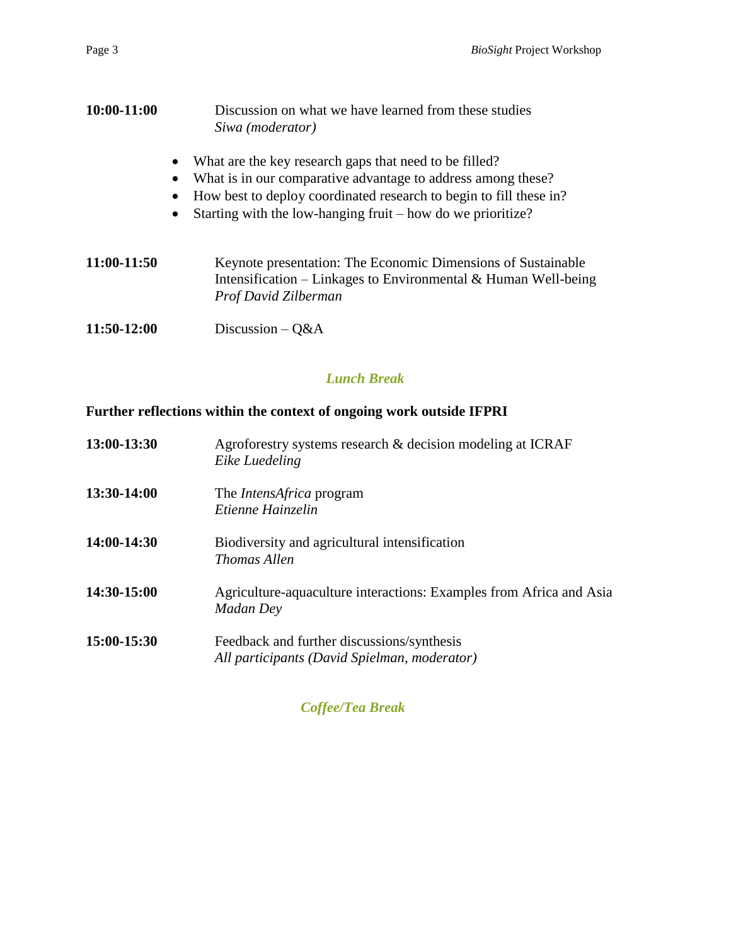| 10:00-11:00 | Discussion on what we have learned from these studies<br>Siwa (moderator)                                                                                                                                                                                                             |  |
|-------------|---------------------------------------------------------------------------------------------------------------------------------------------------------------------------------------------------------------------------------------------------------------------------------------|--|
|             | What are the key research gaps that need to be filled?<br>What is in our comparative advantage to address among these?<br>$\bullet$<br>How best to deploy coordinated research to begin to fill these in?<br>Starting with the low-hanging fruit – how do we prioritize?<br>$\bullet$ |  |
| 11:00-11:50 | Keynote presentation: The Economic Dimensions of Sustainable<br>Intensification – Linkages to Environmental $&$ Human Well-being<br>Prof David Zilberman                                                                                                                              |  |
| 11:50-12:00 | Discussion $-Q&A$                                                                                                                                                                                                                                                                     |  |

# *Lunch Break*

### **Further reflections within the context of ongoing work outside IFPRI**

| 13:00-13:30 | Agroforestry systems research & decision modeling at ICRAF<br>Eike Luedeling               |
|-------------|--------------------------------------------------------------------------------------------|
| 13:30-14:00 | The <i>IntensAfrica</i> program<br>Etienne Hainzelin                                       |
| 14:00-14:30 | Biodiversity and agricultural intensification<br>Thomas Allen                              |
| 14:30-15:00 | Agriculture-aquaculture interactions: Examples from Africa and Asia<br>Madan Dey           |
| 15:00-15:30 | Feedback and further discussions/synthesis<br>All participants (David Spielman, moderator) |

### *Coffee/Tea Break*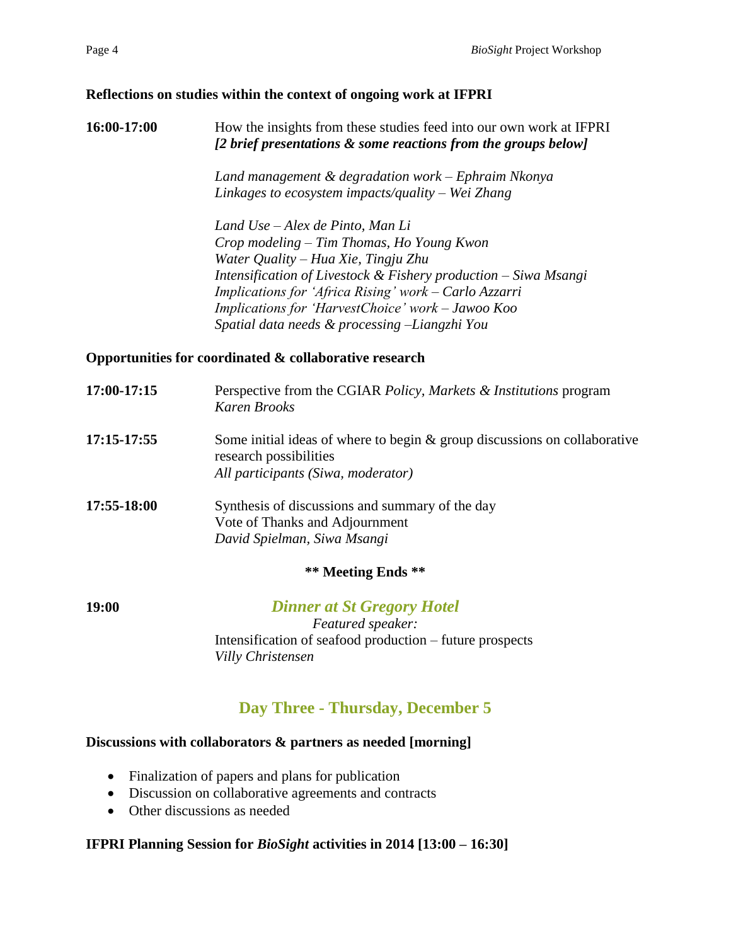#### **Reflections on studies within the context of ongoing work at IFPRI**

**16:00-17:00** How the insights from these studies feed into our own work at IFPRI *[2 brief presentations & some reactions from the groups below]*

> *Land management & degradation work – Ephraim Nkonya Linkages to ecosystem impacts/quality – Wei Zhang*

*Land Use – Alex de Pinto, Man Li Crop modeling – Tim Thomas, Ho Young Kwon Water Quality – Hua Xie, Tingju Zhu Intensification of Livestock & Fishery production – Siwa Msangi Implications for 'Africa Rising' work – Carlo Azzarri Implications for 'HarvestChoice' work – Jawoo Koo Spatial data needs & processing –Liangzhi You*

#### **Opportunities for coordinated & collaborative research**

| 17:00-17:15 | Perspective from the CGIAR Policy, Markets & Institutions program<br>Karen Brooks                                                            |
|-------------|----------------------------------------------------------------------------------------------------------------------------------------------|
| 17:15-17:55 | Some initial ideas of where to begin $\&$ group discussions on collaborative<br>research possibilities<br>All participants (Siwa, moderator) |
| 17:55-18:00 | Synthesis of discussions and summary of the day                                                                                              |
|             | Vote of Thanks and Adjournment                                                                                                               |
|             | David Spielman, Siwa Msangi                                                                                                                  |
|             | ** Meeting Ends **                                                                                                                           |
|             |                                                                                                                                              |

**19:00** *Dinner at St Gregory Hotel Featured speaker:* Intensification of seafood production – future prospects *Villy Christensen*

# **Day Three - Thursday, December 5**

#### **Discussions with collaborators & partners as needed [morning]**

- Finalization of papers and plans for publication
- Discussion on collaborative agreements and contracts
- Other discussions as needed

### **IFPRI Planning Session for** *BioSight* **activities in 2014 [13:00 – 16:30]**